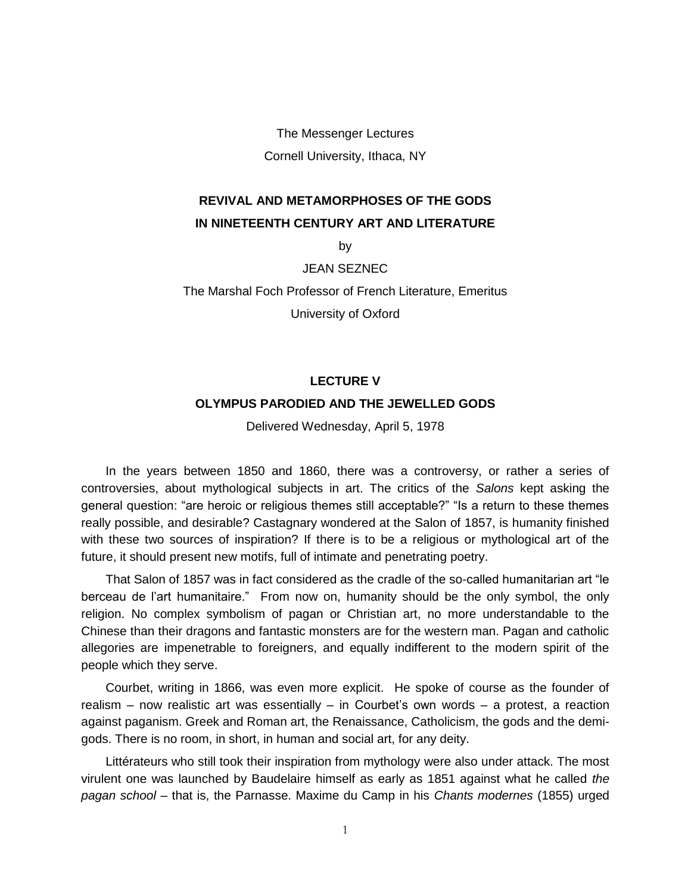The Messenger Lectures Cornell University, Ithaca, NY

# **REVIVAL AND METAMORPHOSES OF THE GODS IN NINETEENTH CENTURY ART AND LITERATURE**

by

JEAN SEZNEC

The Marshal Foch Professor of French Literature, Emeritus

University of Oxford

# **LECTURE V**

## **OLYMPUS PARODIED AND THE JEWELLED GODS**

Delivered Wednesday, April 5, 1978

In the years between 1850 and 1860, there was a controversy, or rather a series of controversies, about mythological subjects in art. The critics of the *Salons* kept asking the general question: "are heroic or religious themes still acceptable?" "Is a return to these themes really possible, and desirable? Castagnary wondered at the Salon of 1857, is humanity finished with these two sources of inspiration? If there is to be a religious or mythological art of the future, it should present new motifs, full of intimate and penetrating poetry.

That Salon of 1857 was in fact considered as the cradle of the so-called humanitarian art "le berceau de l'art humanitaire." From now on, humanity should be the only symbol, the only religion. No complex symbolism of pagan or Christian art, no more understandable to the Chinese than their dragons and fantastic monsters are for the western man. Pagan and catholic allegories are impenetrable to foreigners, and equally indifferent to the modern spirit of the people which they serve.

Courbet, writing in 1866, was even more explicit. He spoke of course as the founder of realism – now realistic art was essentially – in Courbet's own words – a protest, a reaction against paganism. Greek and Roman art, the Renaissance, Catholicism, the gods and the demigods. There is no room, in short, in human and social art, for any deity.

Littérateurs who still took their inspiration from mythology were also under attack. The most virulent one was launched by Baudelaire himself as early as 1851 against what he called *the pagan school* – that is, the Parnasse. Maxime du Camp in his *Chants modernes* (1855) urged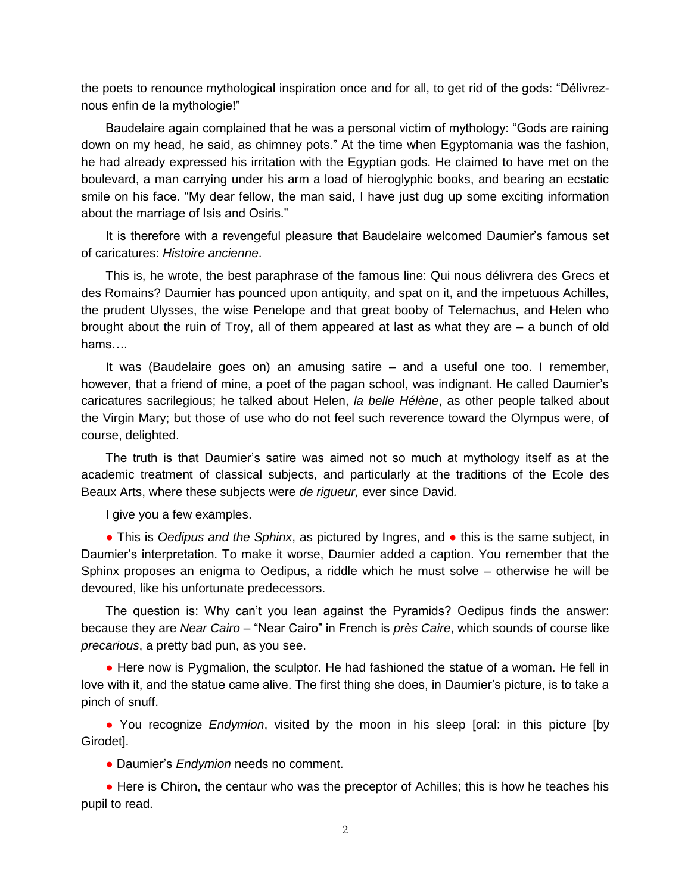the poets to renounce mythological inspiration once and for all, to get rid of the gods: "Délivreznous enfin de la mythologie!"

Baudelaire again complained that he was a personal victim of mythology: "Gods are raining down on my head, he said, as chimney pots." At the time when Egyptomania was the fashion, he had already expressed his irritation with the Egyptian gods. He claimed to have met on the boulevard, a man carrying under his arm a load of hieroglyphic books, and bearing an ecstatic smile on his face. "My dear fellow, the man said, I have just dug up some exciting information about the marriage of Isis and Osiris."

It is therefore with a revengeful pleasure that Baudelaire welcomed Daumier's famous set of caricatures: *Histoire ancienne*.

This is, he wrote, the best paraphrase of the famous line: Qui nous délivrera des Grecs et des Romains? Daumier has pounced upon antiquity, and spat on it, and the impetuous Achilles, the prudent Ulysses, the wise Penelope and that great booby of Telemachus, and Helen who brought about the ruin of Troy, all of them appeared at last as what they are – a bunch of old hams….

It was (Baudelaire goes on) an amusing satire – and a useful one too. I remember, however, that a friend of mine, a poet of the pagan school, was indignant. He called Daumier's caricatures sacrilegious; he talked about Helen, *la belle Hélène*, as other people talked about the Virgin Mary; but those of use who do not feel such reverence toward the Olympus were, of course, delighted.

The truth is that Daumier's satire was aimed not so much at mythology itself as at the academic treatment of classical subjects, and particularly at the traditions of the Ecole des Beaux Arts, where these subjects were *de rigueur,* ever since David*.*

I give you a few examples.

● This is *Oedipus and the Sphinx*, as pictured by Ingres, and ● this is the same subject, in Daumier's interpretation. To make it worse, Daumier added a caption. You remember that the Sphinx proposes an enigma to Oedipus, a riddle which he must solve – otherwise he will be devoured, like his unfortunate predecessors.

The question is: Why can't you lean against the Pyramids? Oedipus finds the answer: because they are *Near Cairo –* "Near Cairo" in French is *près Caire*, which sounds of course like *precarious*, a pretty bad pun, as you see.

• Here now is Pygmalion, the sculptor. He had fashioned the statue of a woman. He fell in love with it, and the statue came alive. The first thing she does, in Daumier's picture, is to take a pinch of snuff.

● You recognize *Endymion*, visited by the moon in his sleep [oral: in this picture [by Girodet].

● Daumier's *Endymion* needs no comment.

• Here is Chiron, the centaur who was the preceptor of Achilles; this is how he teaches his pupil to read.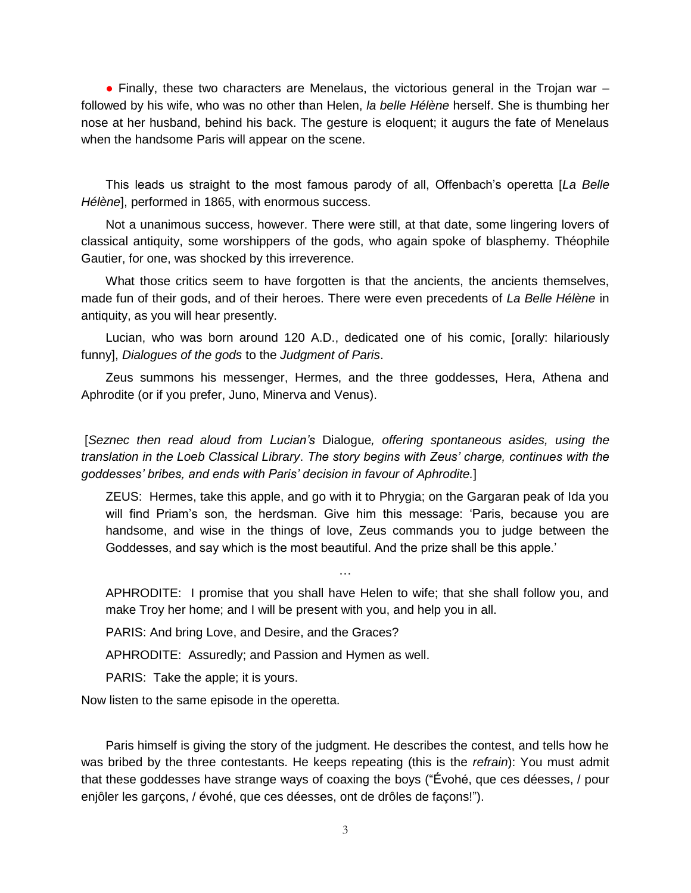• Finally, these two characters are Menelaus, the victorious general in the Trojan war – followed by his wife, who was no other than Helen, *la belle Hélène* herself. She is thumbing her nose at her husband, behind his back. The gesture is eloquent; it augurs the fate of Menelaus when the handsome Paris will appear on the scene.

This leads us straight to the most famous parody of all, Offenbach's operetta [*La Belle Hélène*], performed in 1865, with enormous success.

Not a unanimous success, however. There were still, at that date, some lingering lovers of classical antiquity, some worshippers of the gods, who again spoke of blasphemy. Théophile Gautier, for one, was shocked by this irreverence.

What those critics seem to have forgotten is that the ancients, the ancients themselves, made fun of their gods, and of their heroes. There were even precedents of *La Belle Hélène* in antiquity, as you will hear presently.

Lucian, who was born around 120 A.D., dedicated one of his comic, [orally: hilariously funny], *Dialogues of the gods* to the *Judgment of Paris*.

Zeus summons his messenger, Hermes, and the three goddesses, Hera, Athena and Aphrodite (or if you prefer, Juno, Minerva and Venus).

[*Seznec then read aloud from Lucian's* Dialogue*, offering spontaneous asides, using the translation in the Loeb Classical Library*. *The story begins with Zeus' charge, continues with the goddesses' bribes, and ends with Paris' decision in favour of Aphrodite.*]

ZEUS: Hermes, take this apple, and go with it to Phrygia; on the Gargaran peak of Ida you will find Priam's son, the herdsman. Give him this message: 'Paris, because you are handsome, and wise in the things of love, Zeus commands you to judge between the Goddesses, and say which is the most beautiful. And the prize shall be this apple.'

APHRODITE: I promise that you shall have Helen to wife; that she shall follow you, and make Troy her home; and I will be present with you, and help you in all.

…

PARIS: And bring Love, and Desire, and the Graces?

APHRODITE: Assuredly; and Passion and Hymen as well.

PARIS: Take the apple; it is yours.

Now listen to the same episode in the operetta.

Paris himself is giving the story of the judgment. He describes the contest, and tells how he was bribed by the three contestants. He keeps repeating (this is the *refrain*): You must admit that these goddesses have strange ways of coaxing the boys ("Évohé, que ces déesses, / pour enjôler les garçons, / évohé, que ces déesses, ont de drôles de façons!").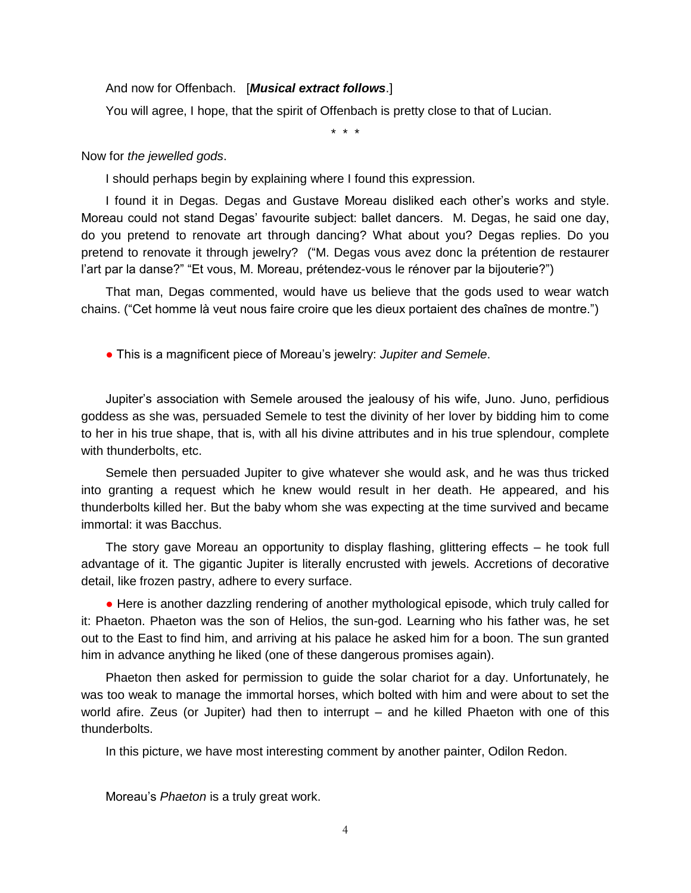### And now for Offenbach. [*Musical extract follows*.]

You will agree, I hope, that the spirit of Offenbach is pretty close to that of Lucian.

\* \* \*

## Now for *the jewelled gods*.

I should perhaps begin by explaining where I found this expression.

I found it in Degas. Degas and Gustave Moreau disliked each other's works and style. Moreau could not stand Degas' favourite subject: ballet dancers. M. Degas, he said one day, do you pretend to renovate art through dancing? What about you? Degas replies. Do you pretend to renovate it through jewelry? ("M. Degas vous avez donc la prétention de restaurer l'art par la danse?" "Et vous, M. Moreau, prétendez-vous le rénover par la bijouterie?")

That man, Degas commented, would have us believe that the gods used to wear watch chains. ("Cet homme là veut nous faire croire que les dieux portaient des chaînes de montre.")

● This is a magnificent piece of Moreau's jewelry: *Jupiter and Semele*.

Jupiter's association with Semele aroused the jealousy of his wife, Juno. Juno, perfidious goddess as she was, persuaded Semele to test the divinity of her lover by bidding him to come to her in his true shape, that is, with all his divine attributes and in his true splendour, complete with thunderbolts, etc.

Semele then persuaded Jupiter to give whatever she would ask, and he was thus tricked into granting a request which he knew would result in her death. He appeared, and his thunderbolts killed her. But the baby whom she was expecting at the time survived and became immortal: it was Bacchus.

The story gave Moreau an opportunity to display flashing, glittering effects – he took full advantage of it. The gigantic Jupiter is literally encrusted with jewels. Accretions of decorative detail, like frozen pastry, adhere to every surface.

• Here is another dazzling rendering of another mythological episode, which truly called for it: Phaeton. Phaeton was the son of Helios, the sun-god. Learning who his father was, he set out to the East to find him, and arriving at his palace he asked him for a boon. The sun granted him in advance anything he liked (one of these dangerous promises again).

Phaeton then asked for permission to guide the solar chariot for a day. Unfortunately, he was too weak to manage the immortal horses, which bolted with him and were about to set the world afire. Zeus (or Jupiter) had then to interrupt – and he killed Phaeton with one of this thunderbolts.

In this picture, we have most interesting comment by another painter, Odilon Redon.

Moreau's *Phaeton* is a truly great work.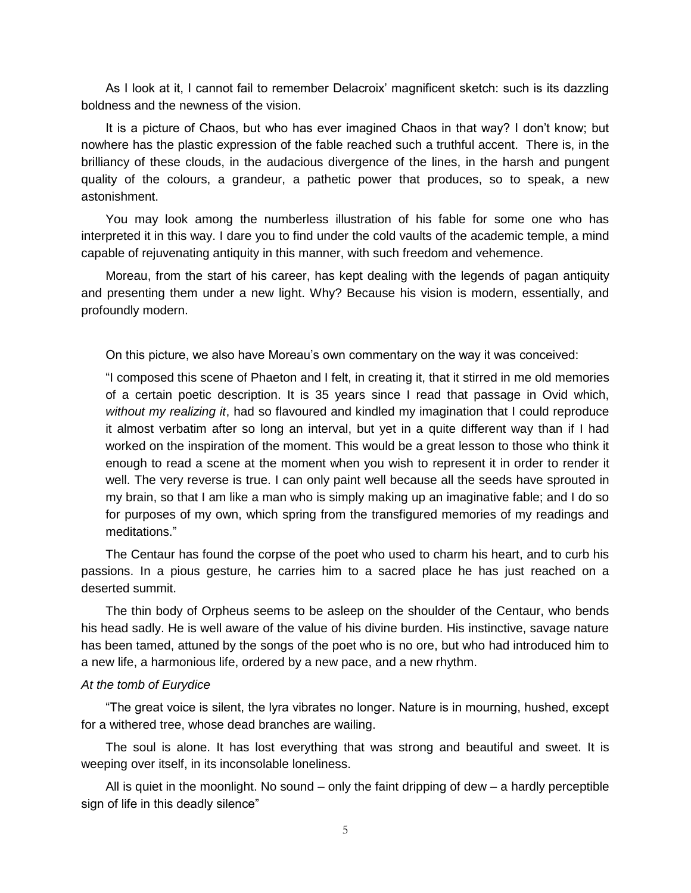As I look at it, I cannot fail to remember Delacroix' magnificent sketch: such is its dazzling boldness and the newness of the vision.

It is a picture of Chaos, but who has ever imagined Chaos in that way? I don't know; but nowhere has the plastic expression of the fable reached such a truthful accent. There is, in the brilliancy of these clouds, in the audacious divergence of the lines, in the harsh and pungent quality of the colours, a grandeur, a pathetic power that produces, so to speak, a new astonishment.

You may look among the numberless illustration of his fable for some one who has interpreted it in this way. I dare you to find under the cold vaults of the academic temple, a mind capable of rejuvenating antiquity in this manner, with such freedom and vehemence.

Moreau, from the start of his career, has kept dealing with the legends of pagan antiquity and presenting them under a new light. Why? Because his vision is modern, essentially, and profoundly modern.

On this picture, we also have Moreau's own commentary on the way it was conceived:

"I composed this scene of Phaeton and I felt, in creating it, that it stirred in me old memories of a certain poetic description. It is 35 years since I read that passage in Ovid which, *without my realizing it*, had so flavoured and kindled my imagination that I could reproduce it almost verbatim after so long an interval, but yet in a quite different way than if I had worked on the inspiration of the moment. This would be a great lesson to those who think it enough to read a scene at the moment when you wish to represent it in order to render it well. The very reverse is true. I can only paint well because all the seeds have sprouted in my brain, so that I am like a man who is simply making up an imaginative fable; and I do so for purposes of my own, which spring from the transfigured memories of my readings and meditations."

The Centaur has found the corpse of the poet who used to charm his heart, and to curb his passions. In a pious gesture, he carries him to a sacred place he has just reached on a deserted summit.

The thin body of Orpheus seems to be asleep on the shoulder of the Centaur, who bends his head sadly. He is well aware of the value of his divine burden. His instinctive, savage nature has been tamed, attuned by the songs of the poet who is no ore, but who had introduced him to a new life, a harmonious life, ordered by a new pace, and a new rhythm.

#### *At the tomb of Eurydice*

"The great voice is silent, the lyra vibrates no longer. Nature is in mourning, hushed, except for a withered tree, whose dead branches are wailing.

The soul is alone. It has lost everything that was strong and beautiful and sweet. It is weeping over itself, in its inconsolable loneliness.

All is quiet in the moonlight. No sound  $-$  only the faint dripping of dew  $-$  a hardly perceptible sign of life in this deadly silence"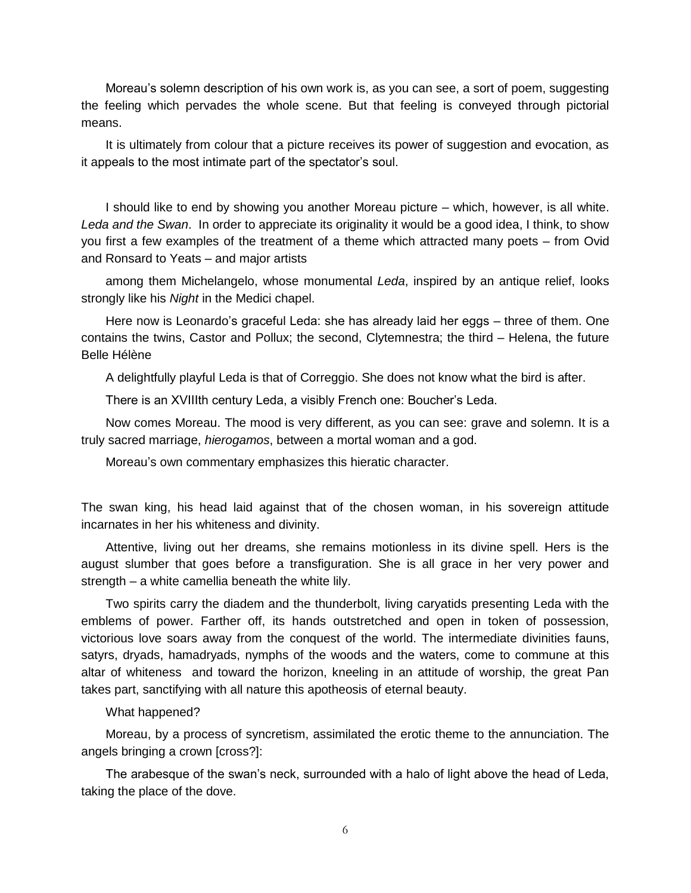Moreau's solemn description of his own work is, as you can see, a sort of poem, suggesting the feeling which pervades the whole scene. But that feeling is conveyed through pictorial means.

It is ultimately from colour that a picture receives its power of suggestion and evocation, as it appeals to the most intimate part of the spectator's soul.

I should like to end by showing you another Moreau picture – which, however, is all white. *Leda and the Swan*. In order to appreciate its originality it would be a good idea, I think, to show you first a few examples of the treatment of a theme which attracted many poets – from Ovid and Ronsard to Yeats – and major artists

among them Michelangelo, whose monumental *Leda*, inspired by an antique relief, looks strongly like his *Night* in the Medici chapel.

Here now is Leonardo's graceful Leda: she has already laid her eggs – three of them. One contains the twins, Castor and Pollux; the second, Clytemnestra; the third – Helena, the future Belle Hélène

A delightfully playful Leda is that of Correggio. She does not know what the bird is after.

There is an XVIIIth century Leda, a visibly French one: Boucher's Leda.

Now comes Moreau. The mood is very different, as you can see: grave and solemn. It is a truly sacred marriage, *hierogamos*, between a mortal woman and a god.

Moreau's own commentary emphasizes this hieratic character.

The swan king, his head laid against that of the chosen woman, in his sovereign attitude incarnates in her his whiteness and divinity.

Attentive, living out her dreams, she remains motionless in its divine spell. Hers is the august slumber that goes before a transfiguration. She is all grace in her very power and strength – a white camellia beneath the white lily.

Two spirits carry the diadem and the thunderbolt, living caryatids presenting Leda with the emblems of power. Farther off, its hands outstretched and open in token of possession, victorious love soars away from the conquest of the world. The intermediate divinities fauns, satyrs, dryads, hamadryads, nymphs of the woods and the waters, come to commune at this altar of whiteness and toward the horizon, kneeling in an attitude of worship, the great Pan takes part, sanctifying with all nature this apotheosis of eternal beauty.

#### What happened?

Moreau, by a process of syncretism, assimilated the erotic theme to the annunciation. The angels bringing a crown [cross?]:

The arabesque of the swan's neck, surrounded with a halo of light above the head of Leda, taking the place of the dove.